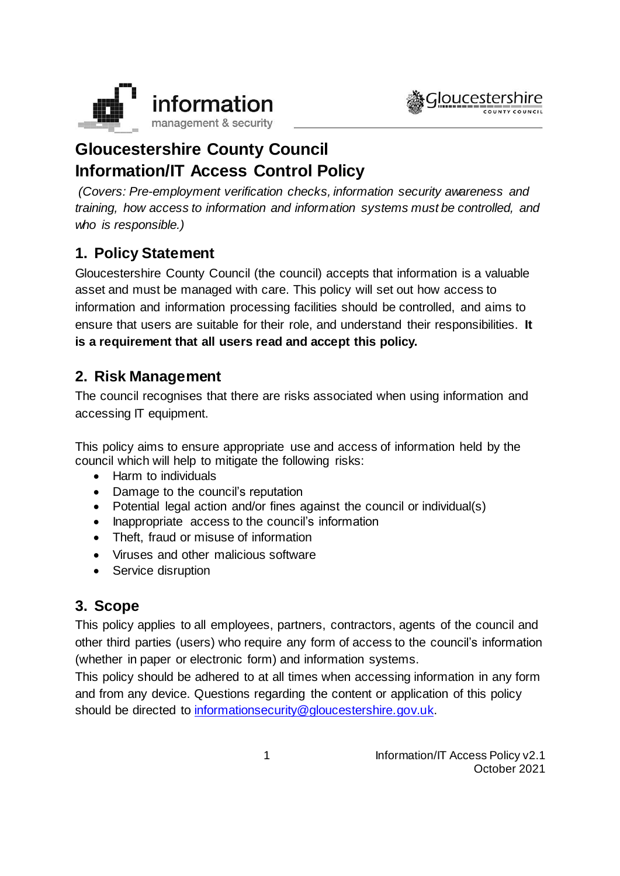



# **Gloucestershire County Council Information/IT Access Control Policy**

*(Covers: Pre-employment verification checks, information security awareness and training, how access to information and information systems must be controlled, and who is responsible.)*

# **1. Policy Statement**

Gloucestershire County Council (the council) accepts that information is a valuable asset and must be managed with care. This policy will set out how access to information and information processing facilities should be controlled, and aims to ensure that users are suitable for their role, and understand their responsibilities. **It is a requirement that all users read and accept this policy.**

# **2. Risk Management**

The council recognises that there are risks associated when using information and accessing IT equipment.

This policy aims to ensure appropriate use and access of information held by the council which will help to mitigate the following risks:

- Harm to individuals
- Damage to the council's reputation
- Potential legal action and/or fines against the council or individual(s)
- Inappropriate access to the council's information
- Theft, fraud or misuse of information
- Viruses and other malicious software
- Service disruption

# **3. Scope**

This policy applies to all employees, partners, contractors, agents of the council and other third parties (users) who require any form of access to the council's information (whether in paper or electronic form) and information systems.

This policy should be adhered to at all times when accessing information in any form and from any device. Questions regarding the content or application of this policy should be directed to [informationsecurity@gloucestershire.gov.uk.](mailto:informationsecurity@gloucestershire.gov.uk)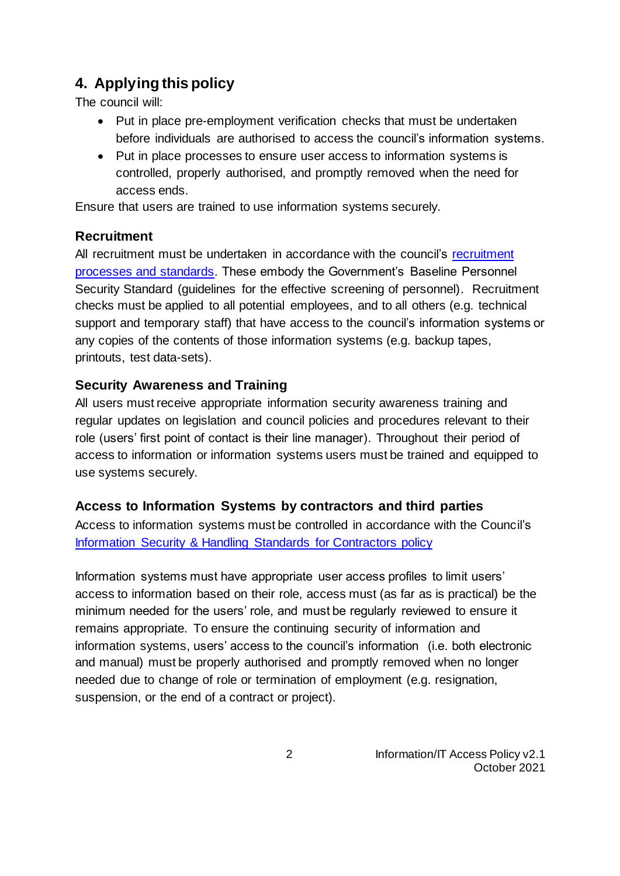# **4. Applying this policy**

The council will:

- Put in place pre-employment verification checks that must be undertaken before individuals are authorised to access the council's information systems.
- Put in place processes to ensure user access to information systems is controlled, properly authorised, and promptly removed when the need for access ends.

Ensure that users are trained to use information systems securely.

### **Recruitment**

All [recruitment](https://staffnet.gloucestershire.gov.uk/recruitment/) must be undertaken in accordance with the council's recruitment processes [and standards.](https://staffnet.gloucestershire.gov.uk/recruitment/) These embody the Government's Baseline Personnel Security Standard (guidelines for the effective screening of personnel). Recruitment checks must be applied to all potential employees, and to all others (e.g. technical support and temporary staff) that have access to the council's information systems or any copies of the contents of those information systems (e.g. backup tapes, printouts, test data-sets).

### **Security Awareness and Training**

All users must receive appropriate information security awareness training and regular updates on legislation and council policies and procedures relevant to their role (users' first point of contact is their line manager). Throughout their period of access to information or information systems users must be trained and equipped to use systems securely.

### **Access to Information Systems by contractors and third parties**

Access to information systems must be controlled in accordance with the Council's [Information Security & Handling Standards for Contractors](https://www.gloucestershire.gov.uk/media/2107269/information-security-and-handling-standards-for-contractors-policy-v1-1.pdf) policy

Information systems must have appropriate user access profiles to limit users' access to information based on their role, access must (as far as is practical) be the minimum needed for the users' role, and must be regularly reviewed to ensure it remains appropriate. To ensure the continuing security of information and information systems, users' access to the council's information (i.e. both electronic and manual) must be properly authorised and promptly removed when no longer needed due to change of role or termination of employment (e.g. resignation, suspension, or the end of a contract or project).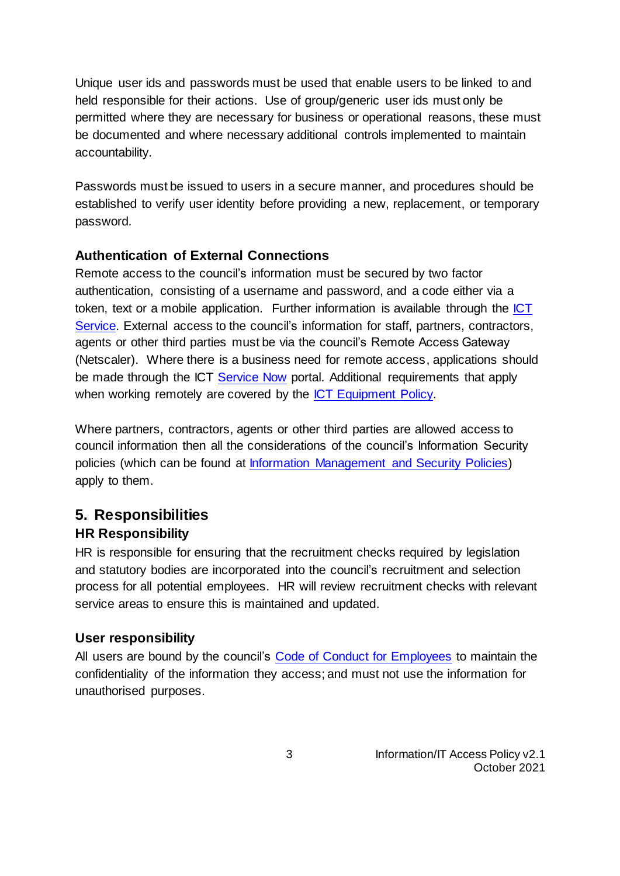Unique user ids and passwords must be used that enable users to be linked to and held responsible for their actions. Use of group/generic user ids must only be permitted where they are necessary for business or operational reasons, these must be documented and where necessary additional controls implemented to maintain accountability.

Passwords must be issued to users in a secure manner, and procedures should be established to verify user identity before providing a new, replacement, or temporary password.

#### **Authentication of External Connections**

Remote access to the council's information must be secured by two factor authentication, consisting of a username and password, and a code either via a token, text or a mobile application. Further information is available through the [ICT](https://staffnet.gloucestershire.gov.uk/internal-services/the-ict-service/apply-for-network-access/)  [Service.](https://staffnet.gloucestershire.gov.uk/internal-services/the-ict-service/apply-for-network-access/) External access to the council's information for staff, partners, contractors, agents or other third parties must be via the council's Remote Access Gateway (Netscaler). Where there is a business need for remote access, applications should be made through the ICT [Service Now](https://gcc.service-now.com/) portal. Additional requirements that apply when working remotely are covered by the [ICT Equipment Policy.](https://www.gloucestershire.gov.uk/media/2086280/ict-equipment-policy-v11.pdf)

Where partners, contractors, agents or other third parties are allowed access to council information then all the considerations of the council's Information Security policies (which can be found at [Information Management and Security Policies\)](http://www.gloucestershire.gov.uk/council-and-democracy/strategies-plans-policies/information-management-and-security-policies/) apply to them.

### **5. Responsibilities HR Responsibility**

HR is responsible for ensuring that the recruitment checks required by legislation and statutory bodies are incorporated into the council's recruitment and selection process for all potential employees. HR will review recruitment checks with relevant service areas to ensure this is maintained and updated.

#### **User responsibility**

All users are bound by the council's [Code of Conduct for Employees](https://staffnet.gloucestershire.gov.uk/employee-information-and-support/code-of-conduct-for-employees/) to maintain the confidentiality of the information they access; and must not use the information for unauthorised purposes.

> 3 Information/IT Access Policy v2.1 October 2021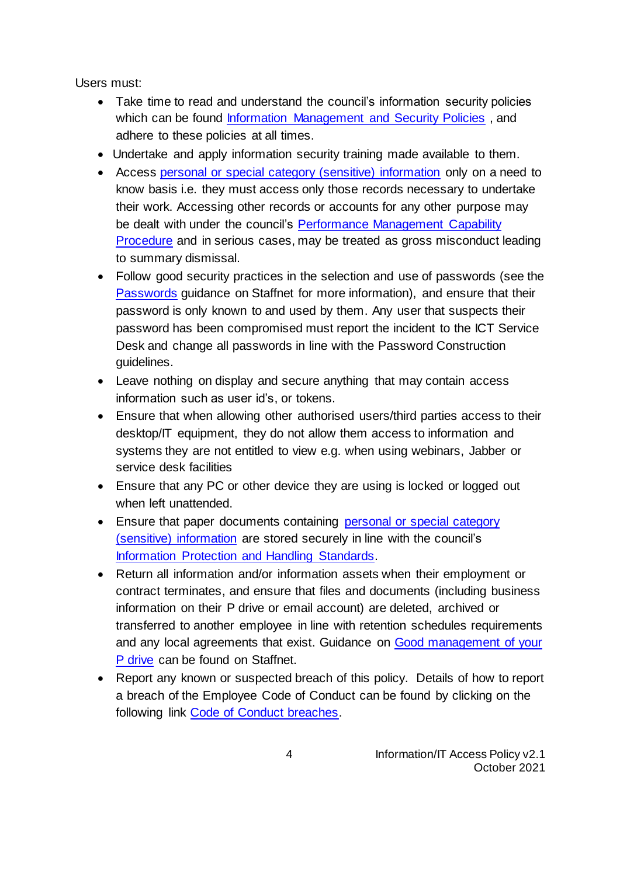Users must:

- Take time to read and understand the council's information security policies which can be found [Information Management and Security Policies](http://www.gloucestershire.gov.uk/council-and-democracy/strategies-plans-policies/information-management-and-security-policies/), and adhere to these policies at all times.
- Undertake and apply information security training made available to them.
- Access [personal or special category \(sensitive\) information](https://staffnet.gloucestershire.gov.uk/internal-services/information-management-service/data-protection-gdpr-what-does-the-law-say/what-are-the-types-of-personal-data/#main) only on a need to know basis i.e. they must access only those records necessary to undertake their work. Accessing other records or accounts for any other purpose may be dealt with under the council's [Performance Management](https://staffnet.gloucestershire.gov.uk/managers/managing-your-team/performance-management-capability/) Capability [Procedure](https://staffnet.gloucestershire.gov.uk/managers/managing-your-team/performance-management-capability/) and in serious cases, may be treated as gross misconduct leading to summary dismissal.
- Follow good security practices in the selection and use of passwords (see the [Passwords](https://staffnet.gloucestershire.gov.uk/information-management-security-governance/how-to-manage-information-and-work-securely/passwords/) guidance on Staffnet for more information), and ensure that their password is only known to and used by them. Any user that suspects their password has been compromised must report the incident to the ICT Service Desk and change all passwords in line with the Password Construction guidelines.
- Leave nothing on display and secure anything that may contain access information such as user id's, or tokens.
- Ensure that when allowing other authorised users/third parties access to their desktop/IT equipment, they do not allow them access to information and systems they are not entitled to view e.g. when using webinars, Jabber or service desk facilities
- Ensure that any PC or other device they are using is locked or logged out when left unattended.
- Ensure that paper documents containing personal or special category [\(sensitive\) information](https://staffnet.gloucestershire.gov.uk/internal-services/information-management-service/data-protection-gdpr-what-does-the-law-say/what-are-the-types-of-personal-data/#main) are stored securely in line with the council's [Information Protection and Handling Standards.](https://www.gloucestershire.gov.uk/media/2091069/information-protection-and-handling-standards-v23.doc)
- Return all information and/or information assets when their employment or contract terminates, and ensure that files and documents (including business information on their P drive or email account) are deleted, archived or transferred to another employee in line with retention schedules requirements and any local agreements that exist. Guidance on [Good management of your](https://staffnet.gloucestershire.gov.uk/internal-services/information-management-service/storing-retrieving-and-disposing-of-data/electronic-records-management-e-storage/managing-your-p-and-s-drives/)  [P drive](https://staffnet.gloucestershire.gov.uk/internal-services/information-management-service/storing-retrieving-and-disposing-of-data/electronic-records-management-e-storage/managing-your-p-and-s-drives/) can be found on Staffnet.
- Report any known or suspected breach of this policy. Details of how to report a breach of the Employee Code of Conduct can be found by clicking on the following link [Code of Conduct breaches.](https://staffnet.gloucestershire.gov.uk/policies-procedures-and-forms/procedures-and-guidance/employee-code-of-conduct/breaches/)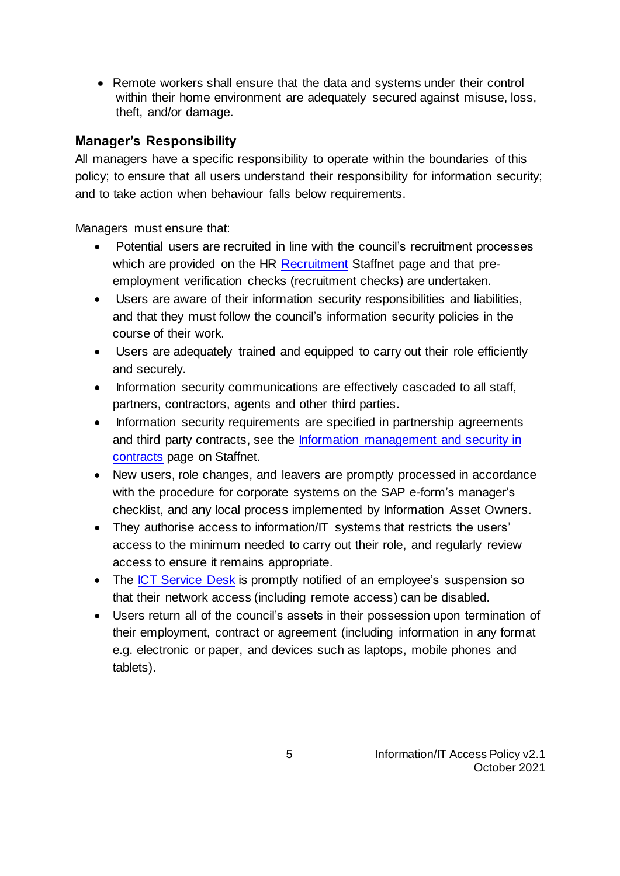• Remote workers shall ensure that the data and systems under their control within their home environment are adequately secured against misuse, loss, theft, and/or damage.

### **Manager's Responsibility**

All managers have a specific responsibility to operate within the boundaries of this policy; to ensure that all users understand their responsibility for information security; and to take action when behaviour falls below requirements.

Managers must ensure that:

- Potential users are recruited in line with the council's recruitment processes which are provided on the HR [Recruitment](https://staffnet.gloucestershire.gov.uk/recruitment/) Staffnet page and that preemployment verification checks (recruitment checks) are undertaken.
- Users are aware of their information security responsibilities and liabilities, and that they must follow the council's information security policies in the course of their work.
- Users are adequately trained and equipped to carry out their role efficiently and securely.
- Information security communications are effectively cascaded to all staff, partners, contractors, agents and other third parties.
- Information security requirements are specified in partnership agreements and third party contracts, see the [Information management and security in](https://staffnet.gloucestershire.gov.uk/internal-services/information-management-service/information-management-and-security-in-contracts/)  [contracts](https://staffnet.gloucestershire.gov.uk/internal-services/information-management-service/information-management-and-security-in-contracts/) page on Staffnet.
- New users, role changes, and leavers are promptly processed in accordance with the procedure for corporate systems on the SAP e-form's manager's checklist, and any local process implemented by Information Asset Owners.
- They authorise access to information/IT systems that restricts the users' access to the minimum needed to carry out their role, and regularly review access to ensure it remains appropriate.
- The [ICT Service Desk](https://staffnet.gloucestershire.gov.uk/internal-services/the-ict-service/other-ict-services/contact-the-ict-service/) is promptly notified of an employee's suspension so that their network access (including remote access) can be disabled.
- Users return all of the council's assets in their possession upon termination of their employment, contract or agreement (including information in any format e.g. electronic or paper, and devices such as laptops, mobile phones and tablets).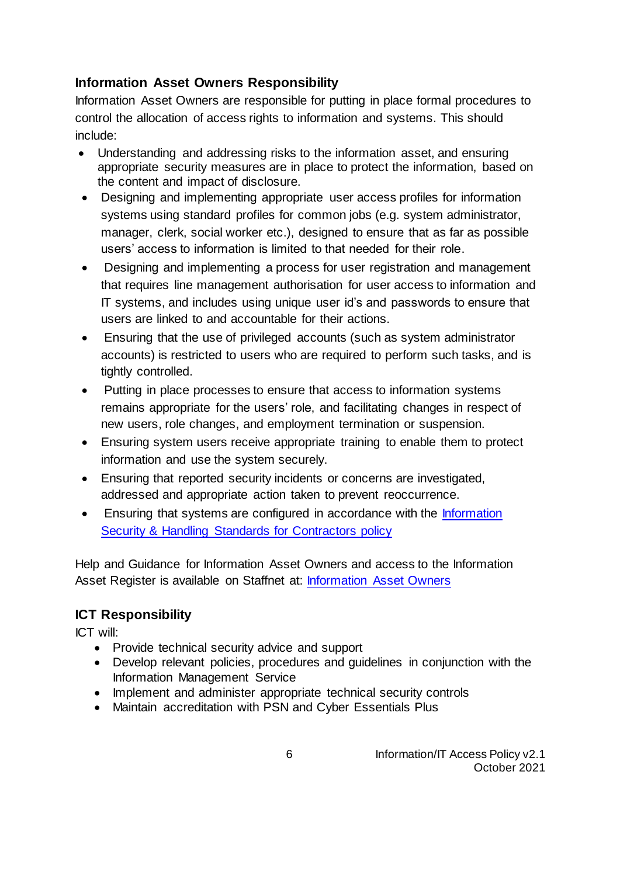### **Information Asset Owners Responsibility**

Information Asset Owners are responsible for putting in place formal procedures to control the allocation of access rights to information and systems. This should include:

- Understanding and addressing risks to the information asset, and ensuring appropriate security measures are in place to protect the information, based on the content and impact of disclosure.
- Designing and implementing appropriate user access profiles for information systems using standard profiles for common jobs (e.g. system administrator, manager, clerk, social worker etc.), designed to ensure that as far as possible users' access to information is limited to that needed for their role.
- Designing and implementing a process for user registration and management that requires line management authorisation for user access to information and IT systems, and includes using unique user id's and passwords to ensure that users are linked to and accountable for their actions.
- Ensuring that the use of privileged accounts (such as system administrator accounts) is restricted to users who are required to perform such tasks, and is tightly controlled.
- Putting in place processes to ensure that access to information systems remains appropriate for the users' role, and facilitating changes in respect of new users, role changes, and employment termination or suspension.
- Ensuring system users receive appropriate training to enable them to protect information and use the system securely.
- Ensuring that reported security incidents or concerns are investigated, addressed and appropriate action taken to prevent reoccurrence.
- Ensuring that systems are configured in accordance with the [Information](https://www.gloucestershire.gov.uk/media/2107269/information-security-and-handling-standards-for-contractors-policy-v1-1.pdf)  [Security & Handling Standards for Contractors policy](https://www.gloucestershire.gov.uk/media/2107269/information-security-and-handling-standards-for-contractors-policy-v1-1.pdf)

Help and Guidance for Information Asset Owners and access to the Information Asset Register is available on Staffnet at: [Information Asset Owners](https://staffnet.gloucestershire.gov.uk/internal-services/information-management-service/information-asset-owners-iao-help-guidance/)

## **ICT Responsibility**

ICT will:

- Provide technical security advice and support
- Develop relevant policies, procedures and guidelines in conjunction with the Information Management Service
- Implement and administer appropriate technical security controls
- Maintain accreditation with PSN and Cyber Essentials Plus

 6 Information/IT Access Policy v2.1 October 2021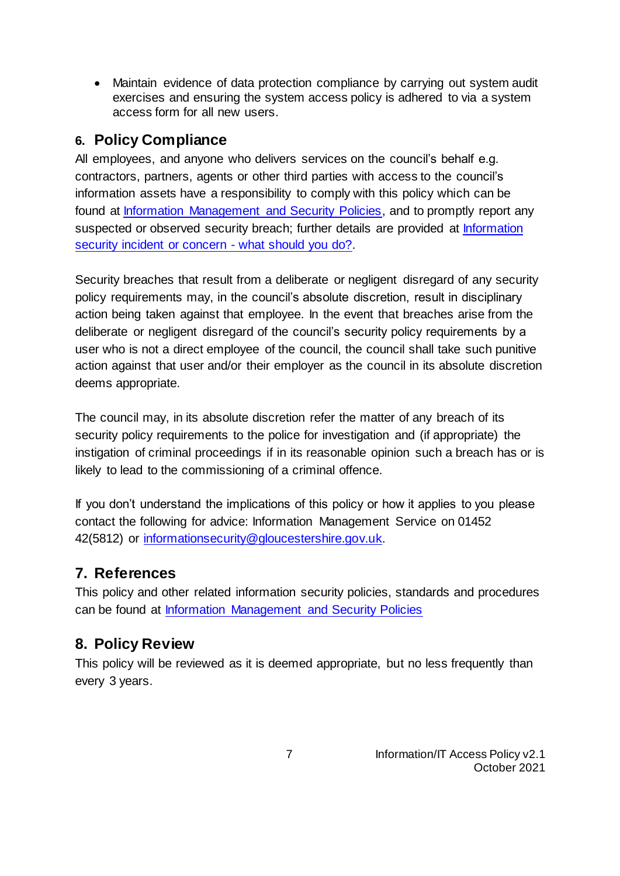• Maintain evidence of data protection compliance by carrying out system audit exercises and ensuring the system access policy is adhered to via a system access form for all new users.

# **6. Policy Compliance**

All employees, and anyone who delivers services on the council's behalf e.g. contractors, partners, agents or other third parties with access to the council's information assets have a responsibility to comply with this policy which can be found at [Information Management and Security Policies,](http://www.gloucestershire.gov.uk/extra/information-management-policies) and to promptly report any suspected or observed security breach; further details are provided at [Information](https://staffnet.gloucestershire.gov.uk/internal-services/information-management-service/information-security-incidents/)  [security incident or concern -](https://staffnet.gloucestershire.gov.uk/internal-services/information-management-service/information-security-incidents/) what should you do?.

Security breaches that result from a deliberate or negligent disregard of any security policy requirements may, in the council's absolute discretion, result in disciplinary action being taken against that employee. In the event that breaches arise from the deliberate or negligent disregard of the council's security policy requirements by a user who is not a direct employee of the council, the council shall take such punitive action against that user and/or their employer as the council in its absolute discretion deems appropriate.

The council may, in its absolute discretion refer the matter of any breach of its security policy requirements to the police for investigation and (if appropriate) the instigation of criminal proceedings if in its reasonable opinion such a breach has or is likely to lead to the commissioning of a criminal offence.

If you don't understand the implications of this policy or how it applies to you please contact the following for advice: Information Management Service on 01452 42(5812) or [informationsecurity@gloucestershire.gov.uk.](mailto:informationsecurity@gloucestershire.gov.uk)

# **7. References**

This policy and other related information security policies, standards and procedures can be found at [Information Management and Security Policies](http://www.gloucestershire.gov.uk/extra/information-management-policies)

# **8. Policy Review**

This policy will be reviewed as it is deemed appropriate, but no less frequently than every 3 years.

> 7 Information/IT Access Policy v2.1 October 2021